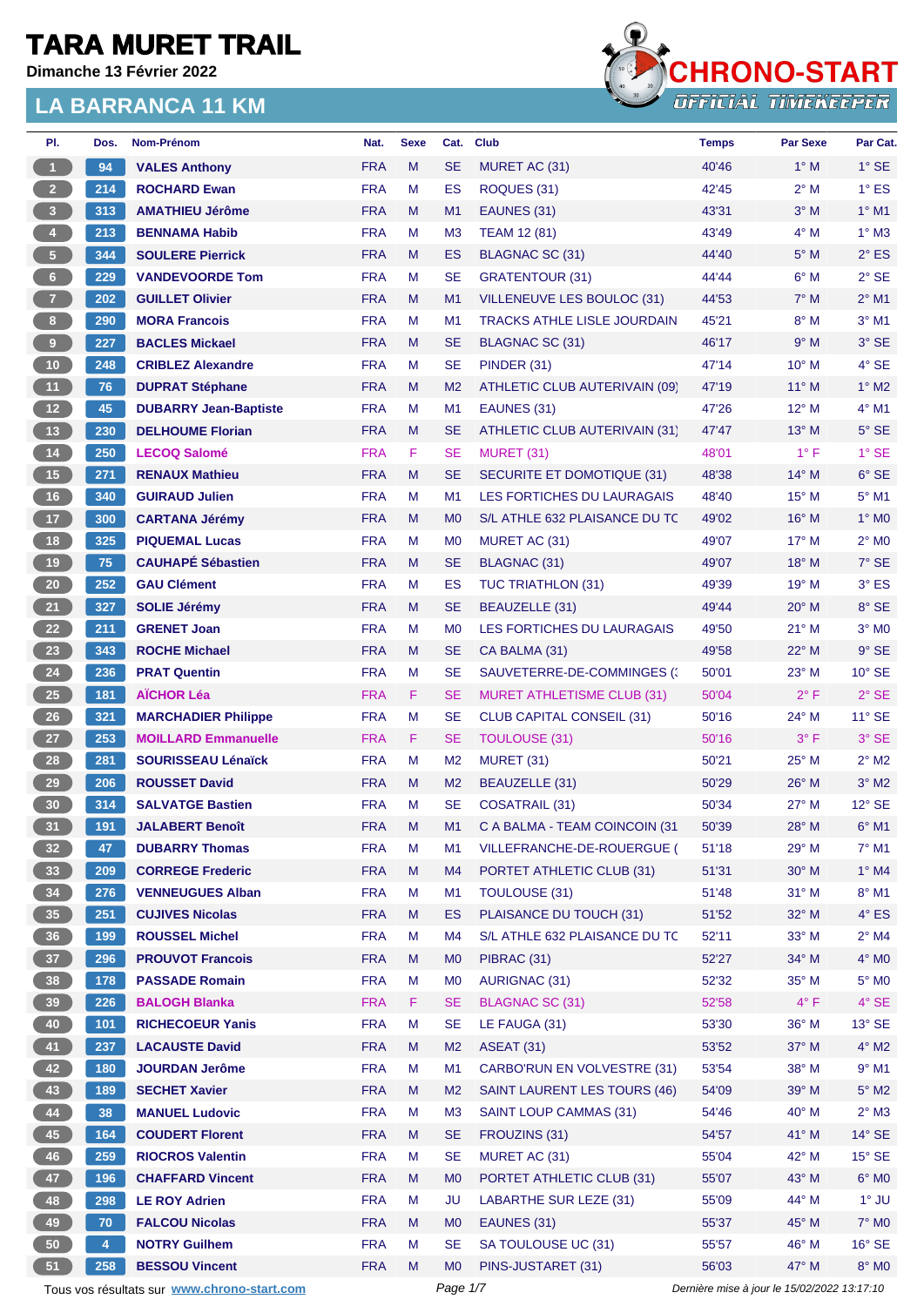**Dimanche 13 Février 2022**



| PI.             | Dos.           | Nom-Prénom                                  | Nat.       | <b>Sexe</b> | Cat.           | <b>Club</b>                         | <b>Temps</b>                                | <b>Par Sexe</b> | Par Cat.        |
|-----------------|----------------|---------------------------------------------|------------|-------------|----------------|-------------------------------------|---------------------------------------------|-----------------|-----------------|
| $\overline{1}$  | 94             | <b>VALES Anthony</b>                        | <b>FRA</b> | M           | <b>SE</b>      | MURET AC (31)                       | 40'46                                       | $1^\circ$ M     | $1^\circ$ SE    |
| $2^{\circ}$     | 214            | <b>ROCHARD Ewan</b>                         | <b>FRA</b> | M           | ES             | ROQUES (31)                         | 42'45                                       | $2^{\circ}$ M   | $1^\circ$ ES    |
| 3 <sup>7</sup>  | 313            | <b>AMATHIEU Jérôme</b>                      | <b>FRA</b> | M           | M1             | EAUNES (31)                         | 43'31                                       | $3°$ M          | $1^\circ$ M1    |
| $\Phi$          | 213            | <b>BENNAMA Habib</b>                        | <b>FRA</b> | М           | M <sub>3</sub> | <b>TEAM 12 (81)</b>                 | 43'49                                       | $4^\circ$ M     | $1^\circ$ M3    |
| 5 <sub>1</sub>  | 344            | <b>SOULERE Pierrick</b>                     | <b>FRA</b> | M           | <b>ES</b>      | <b>BLAGNAC SC (31)</b>              | 44'40                                       | $5^\circ$ M     | $2^{\circ}$ ES  |
| $6 -$           | 229            | <b>VANDEVOORDE Tom</b>                      | <b>FRA</b> | M           | <b>SE</b>      | <b>GRATENTOUR (31)</b>              | 44'44                                       | $6^\circ$ M     | $2°$ SE         |
| 7 <sup>2</sup>  | 202            | <b>GUILLET Olivier</b>                      | <b>FRA</b> | M           | M1             | VILLENEUVE LES BOULOC (31)          | 44'53                                       | $7^\circ$ M     | $2^{\circ}$ M1  |
| 8 <sub>1</sub>  | 290            | <b>MORA Francois</b>                        | <b>FRA</b> | М           | M1             | <b>TRACKS ATHLE LISLE JOURDAIN</b>  | 45'21                                       | $8^\circ$ M     | $3°$ M1         |
| $9$             | 227            | <b>BACLES Mickael</b>                       | <b>FRA</b> | M           | <b>SE</b>      | <b>BLAGNAC SC (31)</b>              | 46'17                                       | 9° M            | $3°$ SE         |
| 10 <sub>1</sub> | 248            | <b>CRIBLEZ Alexandre</b>                    | <b>FRA</b> | M           | <b>SE</b>      | PINDER (31)                         | 47'14                                       | $10^{\circ}$ M  | 4° SE           |
| 11              | 76             | <b>DUPRAT Stéphane</b>                      | <b>FRA</b> | M           | M <sub>2</sub> | ATHLETIC CLUB AUTERIVAIN (09)       | 47'19                                       | $11^{\circ}$ M  | $1^\circ$ M2    |
| 12 <sup>7</sup> | 45             | <b>DUBARRY Jean-Baptiste</b>                | <b>FRA</b> | M           | M <sub>1</sub> | EAUNES (31)                         | 47'26                                       | $12^{\circ}$ M  | $4^{\circ}$ M1  |
| 13 <sup>°</sup> | 230            | <b>DELHOUME Florian</b>                     | <b>FRA</b> | M           | <b>SE</b>      | ATHLETIC CLUB AUTERIVAIN (31)       | 47'47                                       | 13° M           | $5^\circ$ SE    |
| 14              | 250            | <b>LECOQ Salomé</b>                         | <b>FRA</b> | F.          | <b>SE</b>      | MURET (31)                          | 48'01                                       | $1^{\circ}$ F   | $1^\circ$ SE    |
| 15              | 271            | <b>RENAUX Mathieu</b>                       | <b>FRA</b> | M           | <b>SE</b>      | SECURITE ET DOMOTIQUE (31)          | 48'38                                       | $14^{\circ}$ M  | $6^\circ$ SE    |
| 16              | 340            | <b>GUIRAUD Julien</b>                       | <b>FRA</b> | M           | M <sub>1</sub> | <b>LES FORTICHES DU LAURAGAIS</b>   | 48'40                                       | $15^{\circ}$ M  | $5^\circ$ M1    |
| 17 <sub>2</sub> | 300            | <b>CARTANA Jérémy</b>                       | <b>FRA</b> | M           | M <sub>0</sub> | S/L ATHLE 632 PLAISANCE DU TC       | 49'02                                       | $16^{\circ}$ M  | $1^\circ$ MO    |
| 18              | 325            | <b>PIQUEMAL Lucas</b>                       | <b>FRA</b> | M           | M <sub>0</sub> | MURET AC (31)                       | 49'07                                       | $17^\circ$ M    | $2^{\circ}$ MO  |
| 19              | 75             | <b>CAUHAPÉ Sébastien</b>                    | <b>FRA</b> | M           | <b>SE</b>      | <b>BLAGNAC (31)</b>                 | 49'07                                       | 18° M           | $7°$ SE         |
| 20 <sub>2</sub> | 252            | <b>GAU Clément</b>                          | <b>FRA</b> | М           | ES             | <b>TUC TRIATHLON (31)</b>           | 49'39                                       | $19^{\circ}$ M  | $3°$ ES         |
| 21              | 327            | <b>SOLIE Jérémy</b>                         | <b>FRA</b> | M           | <b>SE</b>      | BEAUZELLE (31)                      | 49'44                                       | 20° M           | 8° SE           |
|                 |                |                                             | <b>FRA</b> | M           |                |                                     |                                             |                 |                 |
| 22              | 211            | <b>GRENET Joan</b>                          |            |             | M <sub>0</sub> | LES FORTICHES DU LAURAGAIS          | 49'50                                       | 21° M           | $3^\circ$ MO    |
| 23              | 343            | <b>ROCHE Michael</b>                        | <b>FRA</b> | M           | <b>SE</b>      | CA BALMA (31)                       | 49'58                                       | 22° M           | $9°$ SE         |
| 24              | 236            | <b>PRAT Quentin</b>                         | <b>FRA</b> | М           | <b>SE</b>      | SAUVETERRE-DE-COMMINGES (           | 50'01                                       | 23° M           | $10^{\circ}$ SE |
| 25              | 181            | <b>AÏCHOR Léa</b>                           | <b>FRA</b> | F.          | <b>SE</b>      | <b>MURET ATHLETISME CLUB (31)</b>   | 50'04                                       | $2^{\circ}$ F   | $2°$ SE         |
| $26\phantom{.}$ | 321            | <b>MARCHADIER Philippe</b>                  | <b>FRA</b> | М           | <b>SE</b>      | <b>CLUB CAPITAL CONSEIL (31)</b>    | 50'16                                       | 24° M           | $11^{\circ}$ SE |
| 27              | 253            | <b>MOILLARD Emmanuelle</b>                  | <b>FRA</b> | F.          | <b>SE</b>      | <b>TOULOUSE (31)</b>                | 50'16                                       | $3^{\circ}$ F   | 3° SE           |
| 28              | 281            | <b>SOURISSEAU Lénaïck</b>                   | <b>FRA</b> | M           | M <sub>2</sub> | <b>MURET (31)</b>                   | 50'21                                       | $25^{\circ}$ M  | $2^{\circ}$ M2  |
| 29              | 206            | <b>ROUSSET David</b>                        | <b>FRA</b> | M           | M <sub>2</sub> | BEAUZELLE (31)                      | 50'29                                       | $26^{\circ}$ M  | $3°$ M2         |
| 30 <sub>o</sub> | 314            | <b>SALVATGE Bastien</b>                     | <b>FRA</b> | M           | <b>SE</b>      | <b>COSATRAIL (31)</b>               | 50'34                                       | $27^\circ$ M    | $12^{\circ}$ SE |
| 31              | 191            | <b>JALABERT Benoît</b>                      | <b>FRA</b> | M           | M1             | C A BALMA - TEAM COINCOIN (31)      | 50'39                                       | 28° M           | $6^{\circ}$ M1  |
| 32 <sub>2</sub> | 47             | <b>DUBARRY Thomas</b>                       | <b>FRA</b> | M           | M1             | VILLEFRANCHE-DE-ROUERGUE (          | 51'18                                       | 29° M           | 7° M1           |
| 33 <sup>°</sup> | 209            | <b>CORREGE Frederic</b>                     | <b>FRA</b> | M           | M4             | PORTET ATHLETIC CLUB (31)           | 51'31                                       | $30^\circ$ M    | $1^\circ$ M4    |
| 34              | 276            | <b>VENNEUGUES Alban</b>                     | <b>FRA</b> | М           | M <sub>1</sub> | TOULOUSE (31)                       | 51'48                                       | $31^\circ$ M    | $8^\circ$ M1    |
| 35 <sub>1</sub> | 251            | <b>CUJIVES Nicolas</b>                      | <b>FRA</b> | M           | ES             | PLAISANCE DU TOUCH (31)             | 51'52                                       | 32° M           | $4^\circ$ ES    |
| 36 <sup>°</sup> | 199            | <b>ROUSSEL Michel</b>                       | <b>FRA</b> | М           | M4             | S/L ATHLE 632 PLAISANCE DU TC       | 52'11                                       | $33^\circ$ M    | $2^{\circ}$ M4  |
| 37 <sup>°</sup> | 296            | <b>PROUVOT Francois</b>                     | <b>FRA</b> | M           | M <sub>0</sub> | PIBRAC (31)                         | 52'27                                       | 34° M           | $4^\circ$ MO    |
| 38              | 178            | <b>PASSADE Romain</b>                       | <b>FRA</b> | M           | M <sub>0</sub> | <b>AURIGNAC (31)</b>                | 52'32                                       | $35^\circ$ M    | $5^\circ$ MO    |
| 39 <sup>°</sup> | 226            | <b>BALOGH Blanka</b>                        | <b>FRA</b> | F.          | <b>SE</b>      | <b>BLAGNAC SC (31)</b>              | 52'58                                       | $4^{\circ}$ F   | $4^\circ$ SE    |
| 40              | 101            | <b>RICHECOEUR Yanis</b>                     | <b>FRA</b> | M           | <b>SE</b>      | LE FAUGA (31)                       | 53'30                                       | 36° M           | $13^\circ$ SE   |
| 41              | 237            | <b>LACAUSTE David</b>                       | <b>FRA</b> | M           | M <sub>2</sub> | <b>ASEAT (31)</b>                   | 53'52                                       | 37° M           | $4^{\circ}$ M2  |
| 42              | 180            | <b>JOURDAN Jerôme</b>                       | <b>FRA</b> | M           | M <sub>1</sub> | <b>CARBO'RUN EN VOLVESTRE (31)</b>  | 53'54                                       | 38° M           | $9°$ M1         |
| 43              | 189            | <b>SECHET Xavier</b>                        | <b>FRA</b> | M           | M <sub>2</sub> | <b>SAINT LAURENT LES TOURS (46)</b> | 54'09                                       | 39° M           | $5^\circ$ M2    |
| 44              | 38             | <b>MANUEL Ludovic</b>                       | <b>FRA</b> | M           | M <sub>3</sub> | <b>SAINT LOUP CAMMAS (31)</b>       | 54'46                                       | $40^\circ$ M    | $2^\circ$ M3    |
| 45              | 164            | <b>COUDERT Florent</b>                      | <b>FRA</b> | M           | <b>SE</b>      | FROUZINS (31)                       | 54'57                                       | 41° M           | $14^\circ$ SE   |
| 46              | 259            | <b>RIOCROS Valentin</b>                     | <b>FRA</b> | M           | <b>SE</b>      | MURET AC (31)                       | 55'04                                       | 42° M           | $15^\circ$ SE   |
| 47              | 196            | <b>CHAFFARD Vincent</b>                     | <b>FRA</b> | M           | M <sub>0</sub> | PORTET ATHLETIC CLUB (31)           | 55'07                                       | 43° M           | $6^\circ$ MO    |
| 48              | 298            | <b>LE ROY Adrien</b>                        | <b>FRA</b> | М           | JU             | <b>LABARTHE SUR LEZE (31)</b>       | 55'09                                       | 44° M           | $1°$ JU         |
| 49              | 70             | <b>FALCOU Nicolas</b>                       | <b>FRA</b> | M           | M <sub>0</sub> | EAUNES (31)                         | 55'37                                       | 45° M           | $7^\circ$ MO    |
| 50              | $\overline{4}$ | <b>NOTRY Guilhem</b>                        | <b>FRA</b> | M           | <b>SE</b>      | SA TOULOUSE UC (31)                 | 55'57                                       | 46° M           | $16^\circ$ SE   |
| 51              | 258            | <b>BESSOU Vincent</b>                       | <b>FRA</b> | M           | M <sub>0</sub> | PINS-JUSTARET (31)                  | 56'03                                       | 47° M           | $8^\circ$ MO    |
|                 |                | Tous vos résultats sur www.chrono-start.com |            |             | Page 1/7       |                                     | Dernière mise à jour le 15/02/2022 13:17:10 |                 |                 |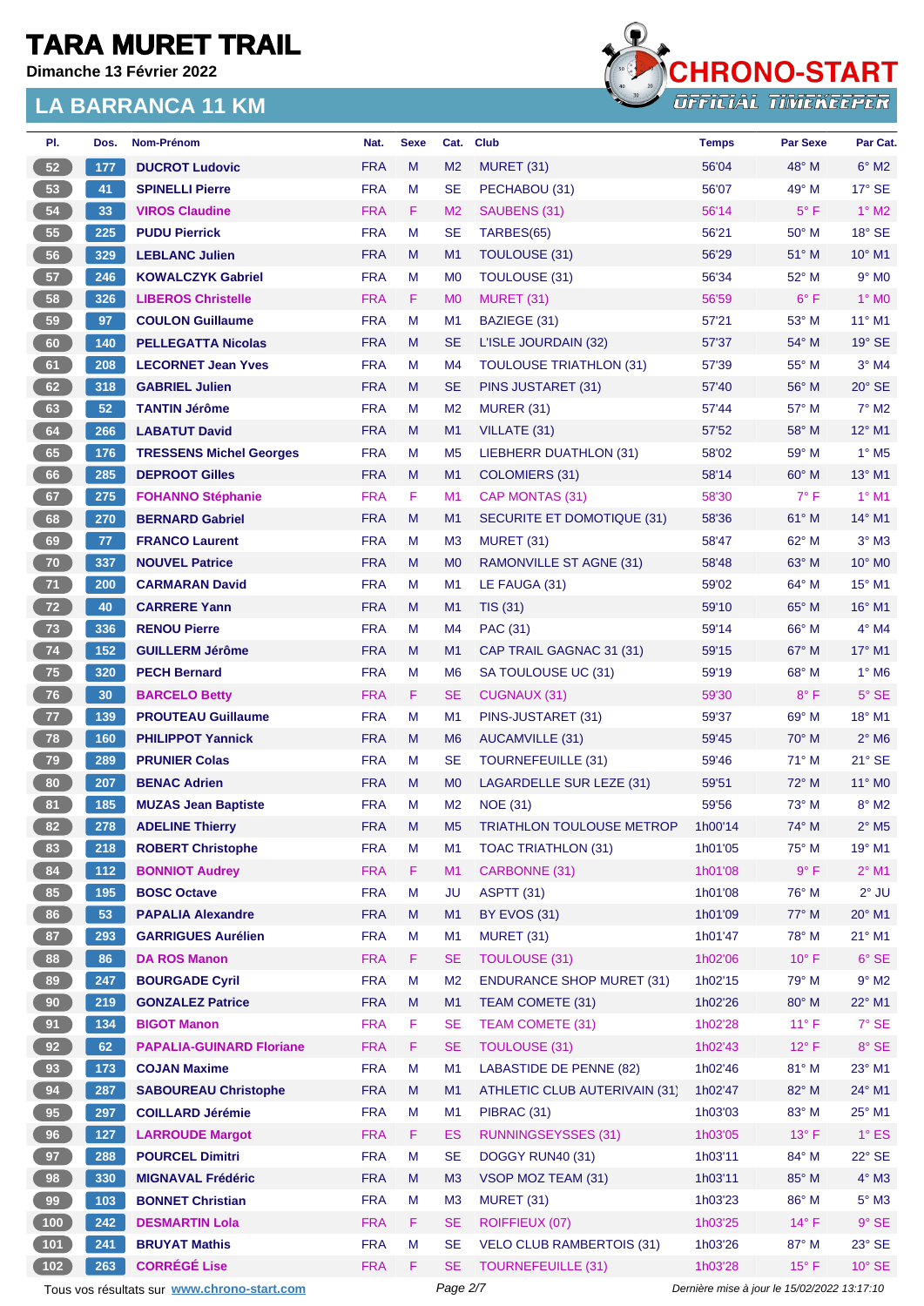**Dimanche 13 Février 2022**



| PI.   | Dos.  | Nom-Prénom                                  | Nat.       | <b>Sexe</b> | Cat.           | <b>Club</b>                      | <b>Temps</b> | Par Sexe                                    | Par Cat.                    |
|-------|-------|---------------------------------------------|------------|-------------|----------------|----------------------------------|--------------|---------------------------------------------|-----------------------------|
| 52    | 177   | <b>DUCROT Ludovic</b>                       | <b>FRA</b> | M           | M <sub>2</sub> | <b>MURET (31)</b>                | 56'04        | 48° M                                       | $6^\circ$ M2                |
| 53    | 41    | <b>SPINELLI Pierre</b>                      | <b>FRA</b> | М           | <b>SE</b>      | PECHABOU (31)                    | 56'07        | 49° M                                       | $17^\circ$ SE               |
| 54    | 33    | <b>VIROS Claudine</b>                       | <b>FRA</b> | F.          | M <sub>2</sub> | SAUBENS (31)                     | 56'14        | $5^{\circ}$ F                               | $1^\circ$ M2                |
| 55    | 225   | <b>PUDU Pierrick</b>                        | <b>FRA</b> | М           | <b>SE</b>      | TARBES(65)                       | 56'21        | $50^{\circ}$ M                              | $18°$ SE                    |
| 56    | 329   | <b>LEBLANC Julien</b>                       | <b>FRA</b> | M           | M1             | TOULOUSE (31)                    | 56'29        | $51^\circ$ M                                | $10^{\circ}$ M1             |
| 57    | 246   | <b>KOWALCZYK Gabriel</b>                    | <b>FRA</b> | М           | M <sub>0</sub> | TOULOUSE (31)                    | 56'34        | 52° M                                       | $9°$ MO                     |
| 58    | 326   | <b>LIBEROS Christelle</b>                   | <b>FRA</b> | F.          | M <sub>0</sub> | MURET (31)                       | 56'59        | $6^{\circ}$ F                               | 1° MO                       |
| 59    | 97    | <b>COULON Guillaume</b>                     | <b>FRA</b> | M           | M1             | BAZIEGE (31)                     | 57'21        | $53^\circ$ M                                | $11^{\circ}$ M1             |
| 60    | 140   | <b>PELLEGATTA Nicolas</b>                   | <b>FRA</b> | M           | <b>SE</b>      | L'ISLE JOURDAIN (32)             | 57'37        | 54° M                                       | $19^\circ$ SE               |
| 61    | 208   | <b>LECORNET Jean Yves</b>                   | <b>FRA</b> | M           | M4             | <b>TOULOUSE TRIATHLON (31)</b>   | 57'39        | 55° M                                       | $3°$ M4                     |
| 62    | 318   | <b>GABRIEL Julien</b>                       | <b>FRA</b> | M           | <b>SE</b>      | PINS JUSTARET (31)               | 57'40        | $56^{\circ}$ M                              | $20^\circ$ SE               |
| 63    | 52    | <b>TANTIN Jérôme</b>                        | <b>FRA</b> | М           | M <sub>2</sub> | <b>MURER (31)</b>                | 57'44        | 57° M                                       | $7^\circ$ M2                |
| 64    | 266   | <b>LABATUT David</b>                        | <b>FRA</b> | M           | M1             | VILLATE (31)                     | 57'52        | $58^\circ$ M                                | 12° M1                      |
| 65    | 176   | <b>TRESSENS Michel Georges</b>              | <b>FRA</b> | M           | M <sub>5</sub> | LIEBHERR DUATHLON (31)           | 58'02        | 59° M                                       | $1^\circ$ M <sub>5</sub>    |
| 66    | 285   | <b>DEPROOT Gilles</b>                       | <b>FRA</b> | M           | M1             | COLOMIERS (31)                   | 58'14        | $60^\circ$ M                                | 13° M1                      |
| 67    | 275   | <b>FOHANNO Stéphanie</b>                    | <b>FRA</b> | F.          | M1             | CAP MONTAS (31)                  | 58'30        | $7^{\circ}$ F                               | $1^\circ$ M1                |
| 68    | 270   | <b>BERNARD Gabriel</b>                      | <b>FRA</b> | M           | M1             | SECURITE ET DOMOTIQUE (31)       | 58'36        | $61^\circ$ M                                | $14^{\circ}$ M1             |
| 69    | 77    | <b>FRANCO Laurent</b>                       | <b>FRA</b> | М           | M <sub>3</sub> | MURET (31)                       | 58'47        | 62° M                                       | $3^\circ$ M3                |
| 70    | 337   | <b>NOUVEL Patrice</b>                       | <b>FRA</b> | M           | M <sub>0</sub> | <b>RAMONVILLE ST AGNE (31)</b>   | 58'48        | $63^\circ$ M                                | 10° M0                      |
| 71    | 200   | <b>CARMARAN David</b>                       | <b>FRA</b> | М           | M1             | LE FAUGA (31)                    | 59'02        | $64^{\circ}$ M                              | $15^{\circ}$ M1             |
| 72    | 40    | <b>CARRERE Yann</b>                         | <b>FRA</b> | M           | M1             | <b>TIS (31)</b>                  | 59'10        | 65° M                                       | 16° M1                      |
| 73    | 336   | <b>RENOU Pierre</b>                         | <b>FRA</b> | М           | M4             | PAC (31)                         | 59'14        | $66^{\circ}$ M                              | $4^\circ$ M4                |
| 74    | 152   | <b>GUILLERM Jérôme</b>                      | <b>FRA</b> | M           | M1             | CAP TRAIL GAGNAC 31 (31)         | 59'15        | 67° M                                       | 17° M1                      |
| 75    | 320   | <b>PECH Bernard</b>                         | <b>FRA</b> | м           | M <sub>6</sub> | SA TOULOUSE UC (31)              | 59'19        | $68^\circ$ M                                | $1^\circ$ M <sub>6</sub>    |
| 76    | 30    | <b>BARCELO Betty</b>                        | <b>FRA</b> | F.          | <b>SE</b>      | <b>CUGNAUX (31)</b>              | 59'30        | $8^{\circ}$ F                               | $5^\circ$ SE                |
| 77    | 139   | <b>PROUTEAU Guillaume</b>                   | <b>FRA</b> | М           | M <sub>1</sub> | PINS-JUSTARET (31)               | 59'37        | $69^\circ$ M                                | 18° M1                      |
| 78    | 160   | <b>PHILIPPOT Yannick</b>                    | <b>FRA</b> | M           | M <sub>6</sub> | <b>AUCAMVILLE (31)</b>           | 59'45        | $70^\circ$ M                                | $2^{\circ}$ M6              |
| 79    | 289   | <b>PRUNIER Colas</b>                        | <b>FRA</b> | М           | <b>SE</b>      | <b>TOURNEFEUILLE (31)</b>        | 59'46        | $71^\circ$ M                                | $21^\circ$ SE               |
| 80    | 207   | <b>BENAC Adrien</b>                         | <b>FRA</b> | M           | M <sub>0</sub> | LAGARDELLE SUR LEZE (31)         | 59'51        | $72^{\circ}$ M                              | $11^{\circ}$ M <sub>0</sub> |
| 81    | 185   | <b>MUZAS Jean Baptiste</b>                  | <b>FRA</b> | M           | M <sub>2</sub> | <b>NOE (31)</b>                  | 59'56        | $73^\circ$ M                                | $8^\circ$ M2                |
| 82    | 278   | <b>ADELINE Thierry</b>                      | <b>FRA</b> | M           | M <sub>5</sub> | <b>TRIATHLON TOULOUSE METROP</b> | 1h00'14      | 74° M                                       | $2^\circ$ M5                |
| 83    | 218   | <b>ROBERT Christophe</b>                    | <b>FRA</b> | M           | M1             | <b>TOAC TRIATHLON (31)</b>       | 1h01'05      | 75° M                                       | 19° M1                      |
| 84    | $112$ | <b>BONNIOT Audrey</b>                       | <b>FRA</b> | F           | M1             | CARBONNE (31)                    | 1h01'08      | 9° F                                        | $2^{\circ}$ M1              |
| 85    | 195   | <b>BOSC Octave</b>                          | <b>FRA</b> | M           | JU             | <b>ASPTT (31)</b>                | 1h01'08      | 76° M                                       | $2^{\circ}$ JU              |
| 86    | 53    | <b>PAPALIA Alexandre</b>                    | <b>FRA</b> | M           | M1             | <b>BY EVOS (31)</b>              | 1h01'09      | 77° M                                       | 20° M1                      |
| 87    | 293   | <b>GARRIGUES Aurélien</b>                   | <b>FRA</b> | M           | M1             | <b>MURET (31)</b>                | 1h01'47      | 78° M                                       | $21^{\circ}$ M1             |
| 88    |       | <b>DA ROS Manon</b>                         | <b>FRA</b> | F.          | <b>SE</b>      | <b>TOULOUSE (31)</b>             | 1h02'06      | $10^{\circ}$ F                              | $6°$ SE                     |
|       | 86    |                                             |            |             |                |                                  |              |                                             |                             |
| 89    | 247   | <b>BOURGADE Cyril</b>                       | <b>FRA</b> | M           | M <sub>2</sub> | <b>ENDURANCE SHOP MURET (31)</b> | 1h02'15      | 79° M                                       | $9^\circ$ M2                |
| 90    | 219   | <b>GONZALEZ Patrice</b>                     | <b>FRA</b> | M           | M1             | TEAM COMETE (31)                 | 1h02'26      | 80° M                                       | 22° M1                      |
| 91    | 134   | <b>BIGOT Manon</b>                          | <b>FRA</b> | F           | <b>SE</b>      | <b>TEAM COMETE (31)</b>          | 1h02'28      | $11^{\circ}$ F                              | 7° SE                       |
| 92    | 62    | <b>PAPALIA-GUINARD Floriane</b>             | <b>FRA</b> | F           | <b>SE</b>      | <b>TOULOUSE (31)</b>             | 1h02'43      | $12^{\circ}$ F                              | 8° SE                       |
| 93    | 173   | <b>COJAN Maxime</b>                         | <b>FRA</b> | М           | M1             | <b>LABASTIDE DE PENNE (82)</b>   | 1h02'46      | 81° M                                       | 23° M1                      |
| 94    | 287   | <b>SABOUREAU Christophe</b>                 | <b>FRA</b> | M           | M1             | ATHLETIC CLUB AUTERIVAIN (31)    | 1h02'47      | 82° M                                       | 24° M1                      |
| 95    | 297   | <b>COILLARD Jérémie</b>                     | <b>FRA</b> | M           | M1             | PIBRAC (31)                      | 1h03'03      | 83° M                                       | $25^{\circ}$ M1             |
| 96    | 127   | <b>LARROUDE Margot</b>                      | <b>FRA</b> | F.          | <b>ES</b>      | <b>RUNNINGSEYSSES (31)</b>       | 1h03'05      | $13^{\circ}$ F                              | $1^\circ$ ES                |
| 97    | 288   | <b>POURCEL Dimitri</b>                      | <b>FRA</b> | M           | <b>SE</b>      | DOGGY RUN40 (31)                 | 1h03'11      | 84° M                                       | 22° SE                      |
| 98    | 330   | <b>MIGNAVAL Frédéric</b>                    | <b>FRA</b> | M           | M3             | VSOP MOZ TEAM (31)               | 1h03'11      | 85° M                                       | $4^\circ$ M3                |
| 99    | 103   | <b>BONNET Christian</b>                     | <b>FRA</b> | M           | M <sub>3</sub> | <b>MURET (31)</b>                | 1h03'23      | 86° M                                       | $5^\circ$ M3                |
| $100$ | 242   | <b>DESMARTIN Lola</b>                       | <b>FRA</b> | F           | <b>SE</b>      | ROIFFIEUX (07)                   | 1h03'25      | $14^{\circ}$ F                              | $9°$ SE                     |
| $101$ | 241   | <b>BRUYAT Mathis</b>                        | <b>FRA</b> | M           | <b>SE</b>      | <b>VELO CLUB RAMBERTOIS (31)</b> | 1h03'26      | 87° M                                       | 23° SE                      |
| $102$ | 263   | <b>CORRÉGÉ Lise</b>                         | <b>FRA</b> | F           | <b>SE</b>      | <b>TOURNEFEUILLE (31)</b>        | 1h03'28      | $15^{\circ}$ F                              | $10^{\circ}$ SE             |
|       |       | Tous vos résultats sur www.chrono-start.com |            |             | Page 2/7       |                                  |              | Dernière mise à jour le 15/02/2022 13:17:10 |                             |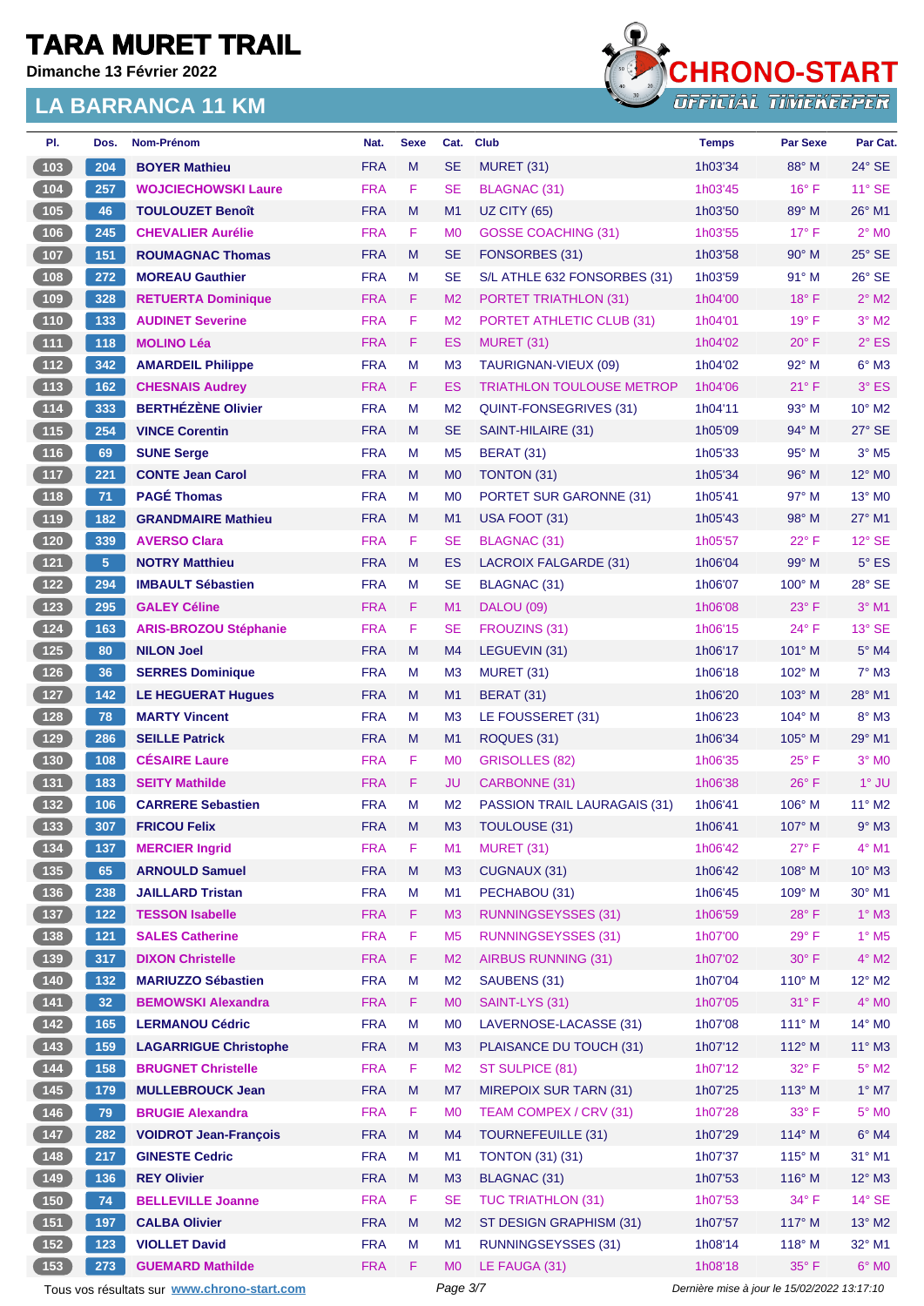**Dimanche 13 Février 2022**



| PI.                                                       | Dos.           | Nom-Prénom                                  | Nat.       | <b>Sexe</b> | Cat.           | <b>Club</b>                         | <b>Temps</b>                                | <b>Par Sexe</b> | Par Cat.                    |
|-----------------------------------------------------------|----------------|---------------------------------------------|------------|-------------|----------------|-------------------------------------|---------------------------------------------|-----------------|-----------------------------|
| 103                                                       | 204            | <b>BOYER Mathieu</b>                        | <b>FRA</b> | M           | <b>SE</b>      | MURET (31)                          | 1h03'34                                     | 88° M           | $24^\circ$ SE               |
| 104                                                       | 257            | <b>WOJCIECHOWSKI Laure</b>                  | <b>FRA</b> | F           | <b>SE</b>      | <b>BLAGNAC (31)</b>                 | 1h03'45                                     | $16^{\circ}$ F  | $11^{\circ}$ SE             |
| 105                                                       | 46             | <b>TOULOUZET Benoît</b>                     | <b>FRA</b> | M           | M1             | <b>UZ CITY (65)</b>                 | 1h03'50                                     | 89° M           | $26^{\circ}$ M1             |
| 106                                                       | 245            | <b>CHEVALIER Aurélie</b>                    | <b>FRA</b> | F           | M <sub>0</sub> | <b>GOSSE COACHING (31)</b>          | 1h03'55                                     | $17^{\circ}$ F  | $2°$ M <sub>0</sub>         |
| 107                                                       | 151            | <b>ROUMAGNAC Thomas</b>                     | <b>FRA</b> | M           | SE             | FONSORBES (31)                      | 1h03'58                                     | $90^\circ$ M    | $25^\circ$ SE               |
| 108                                                       | 272            | <b>MOREAU Gauthier</b>                      | <b>FRA</b> | M           | <b>SE</b>      | S/L ATHLE 632 FONSORBES (31)        | 1h03'59                                     | 91° M           | 26° SE                      |
| (109)                                                     | 328            | <b>RETUERTA Dominique</b>                   | <b>FRA</b> | F           | M <sub>2</sub> | <b>PORTET TRIATHLON (31)</b>        | 1h04'00                                     | $18^{\circ}$ F  | $2^{\circ}$ M2              |
| 110                                                       | 133            | <b>AUDINET Severine</b>                     | <b>FRA</b> | F           | M2             | <b>PORTET ATHLETIC CLUB (31)</b>    | 1h04'01                                     | $19^{\circ}$ F  | $3°$ M2                     |
| $111$                                                     | 118            | <b>MOLINO Léa</b>                           | <b>FRA</b> | F           | ES             | <b>MURET (31)</b>                   | 1h04'02                                     | $20^{\circ}$ F  | $2°$ ES                     |
| $112$                                                     | 342            | <b>AMARDEIL Philippe</b>                    | <b>FRA</b> | M           | M3             | TAURIGNAN-VIEUX (09)                | 1h04'02                                     | 92° M           | $6^\circ$ M3                |
| (113)                                                     | 162            | <b>CHESNAIS Audrey</b>                      | <b>FRA</b> | F           | ES             | <b>TRIATHLON TOULOUSE METROP</b>    | 1h04'06                                     | $21^{\circ}$ F  | $3°$ ES                     |
| $\boxed{114}$                                             | 333            | <b>BERTHÉZÈNE Olivier</b>                   | <b>FRA</b> | M           | M <sub>2</sub> | QUINT-FONSEGRIVES (31)              | 1h04'11                                     | 93° M           | $10^{\circ}$ M <sub>2</sub> |
| $115$                                                     | 254            | <b>VINCE Corentin</b>                       | <b>FRA</b> | M           | SE             | SAINT-HILAIRE (31)                  | 1h05'09                                     | 94° M           | $27^\circ$ SE               |
| 116                                                       | 69             | <b>SUNE Serge</b>                           | <b>FRA</b> | M           | M <sub>5</sub> | <b>BERAT (31)</b>                   | 1h05'33                                     | $95^\circ$ M    | $3°$ M <sub>5</sub>         |
| (117)                                                     | 221            | <b>CONTE Jean Carol</b>                     | <b>FRA</b> | M           | M <sub>0</sub> | TONTON (31)                         | 1h05'34                                     | 96° M           | 12° M <sub>0</sub>          |
| 118                                                       | 71             | <b>PAGÉ Thomas</b>                          | <b>FRA</b> | M           | M <sub>0</sub> | PORTET SUR GARONNE (31)             | 1h05'41                                     | $97^\circ$ M    | $13^\circ$ MO               |
| 119                                                       | 182            | <b>GRANDMAIRE Mathieu</b>                   | <b>FRA</b> | M           | M1             | USA FOOT (31)                       | 1h05'43                                     | $98^\circ$ M    | 27° M1                      |
| $(120)$                                                   | 339            | <b>AVERSO Clara</b>                         | <b>FRA</b> | F           | SE             | <b>BLAGNAC (31)</b>                 | 1h05'57                                     | $22^{\circ}$ F  | $12^{\circ}$ SE             |
| 121                                                       | 5 <sup>5</sup> | <b>NOTRY Matthieu</b>                       | <b>FRA</b> | M           | ES             | <b>LACROIX FALGARDE (31)</b>        | 1h06'04                                     | 99° M           | $5^{\circ}$ ES              |
| $122$                                                     | 294            | <b>IMBAULT Sébastien</b>                    | <b>FRA</b> | M           | SE             | BLAGNAC (31)                        | 1h06'07                                     | $100^\circ$ M   | 28° SE                      |
| $123$                                                     | 295            | <b>GALEY Céline</b>                         | <b>FRA</b> | F.          | M1             | <b>DALOU (09)</b>                   | 1h06'08                                     | $23^\circ$ F    | $3°$ M1                     |
| (124)                                                     | 163            | <b>ARIS-BROZOU Stéphanie</b>                | <b>FRA</b> | F           | SE             | FROUZINS (31)                       | 1h06'15                                     | $24^{\circ}$ F  | $13^\circ$ SE               |
| 125                                                       | 80             | <b>NILON Joel</b>                           | <b>FRA</b> | M           | M4             | LEGUEVIN (31)                       | 1h06'17                                     | $101^\circ$ M   | 5° M4                       |
| 126                                                       | 36             | <b>SERRES Dominique</b>                     | <b>FRA</b> | M           | M <sub>3</sub> | MURET (31)                          | 1h06'18                                     | $102^\circ$ M   | $7^\circ$ M3                |
| 127                                                       | 142            | <b>LE HEGUERAT Hugues</b>                   | <b>FRA</b> | M           | M1             | <b>BERAT (31)</b>                   | 1h06'20                                     | $103^\circ$ M   | 28° M1                      |
| $128$                                                     | 78             | <b>MARTY Vincent</b>                        | <b>FRA</b> | M           | M <sub>3</sub> | LE FOUSSERET (31)                   | 1h06'23                                     | 104° M          | 8° M3                       |
| $129$                                                     | 286            | <b>SEILLE Patrick</b>                       | <b>FRA</b> | M           | M1             | ROQUES (31)                         | 1h06'34                                     | $105^\circ$ M   | $29^\circ$ M1               |
| $130$                                                     | 108            | <b>CÉSAIRE Laure</b>                        | <b>FRA</b> | F           | M <sub>0</sub> | <b>GRISOLLES (82)</b>               | 1h06'35                                     | $25^{\circ}$ F  | $3°$ MO                     |
| (131)                                                     | 183            | <b>SEITY Mathilde</b>                       | <b>FRA</b> | F           | JU             | CARBONNE (31)                       | 1h06'38                                     | $26^{\circ}$ F  | $1^\circ$ JU                |
| 132                                                       | 106            | <b>CARRERE Sebastien</b>                    | <b>FRA</b> | M           | M <sub>2</sub> | <b>PASSION TRAIL LAURAGAIS (31)</b> | 1h06'41                                     | $106^\circ$ M   | $11^{\circ}$ M2             |
| $\begin{array}{ c c }\n\hline\n\textbf{133}\n\end{array}$ | 307            | <b>FRICOU Felix</b>                         | <b>FRA</b> | м           | ΜЗ             | TOULOUSE (31)                       | 1h06'41                                     | 107° M          | $9°$ M3                     |
| (134)                                                     | 137            | <b>MERCIER Ingrid</b>                       | <b>FRA</b> | F           | M1             | <b>MURET (31)</b>                   | 1h06'42                                     | $27^\circ$ F    | $4^\circ$ M1                |
| (135)                                                     | 65             | <b>ARNOULD Samuel</b>                       | <b>FRA</b> | M           | M3             | CUGNAUX (31)                        | 1h06'42                                     | 108° M          | $10^{\circ}$ M3             |
| (136)                                                     | 238            | <b>JAILLARD Tristan</b>                     | <b>FRA</b> | M           | M1             | PECHABOU (31)                       | 1h06'45                                     | 109° M          | 30° M1                      |
| $\begin{array}{c} \boxed{137} \end{array}$                | $122$          | <b>TESSON Isabelle</b>                      | <b>FRA</b> | F           | M <sub>3</sub> | <b>RUNNINGSEYSSES (31)</b>          | 1h06'59                                     | $28^{\circ}$ F  | $1^\circ$ M3                |
| $138$                                                     | $121$          | <b>SALES Catherine</b>                      | <b>FRA</b> | F           | M <sub>5</sub> | <b>RUNNINGSEYSSES (31)</b>          | 1h07'00                                     | 29° F           | $1^\circ$ M <sub>5</sub>    |
| (139)                                                     | 317            | <b>DIXON Christelle</b>                     | <b>FRA</b> | F           | M <sub>2</sub> | <b>AIRBUS RUNNING (31)</b>          | 1h07'02                                     | $30^\circ$ F    | $4^\circ$ M2                |
| 140                                                       | 132            | <b>MARIUZZO Sébastien</b>                   | <b>FRA</b> | M           | M <sub>2</sub> | SAUBENS (31)                        | 1h07'04                                     | $110^{\circ}$ M | $12^{\circ}$ M2             |
| $141$                                                     | 32             | <b>BEMOWSKI Alexandra</b>                   | <b>FRA</b> | F           | M <sub>0</sub> | SAINT-LYS (31)                      | 1h07'05                                     | 31° F           | $4^\circ$ MO                |
| (142)                                                     | 165            | <b>LERMANOU Cédric</b>                      | <b>FRA</b> | M           | M <sub>0</sub> | LAVERNOSE-LACASSE (31)              | 1h07'08                                     | $111^\circ$ M   | $14^{\circ}$ MO             |
| (143)                                                     | 159            | <b>LAGARRIGUE Christophe</b>                | <b>FRA</b> | M           | M3             | PLAISANCE DU TOUCH (31)             | 1h07'12                                     | $112^\circ$ M   | $11^{\circ}$ M3             |
| 144                                                       | 158            | <b>BRUGNET Christelle</b>                   | <b>FRA</b> | F.          | M <sub>2</sub> | ST SULPICE (81)                     | 1h07'12                                     | 32° F           | $5^\circ$ M2                |
| (145)                                                     | 179            | <b>MULLEBROUCK Jean</b>                     | <b>FRA</b> | M           | M7             | <b>MIREPOIX SUR TARN (31)</b>       | 1h07'25                                     | $113^\circ$ M   | $1^\circ$ M7                |
| $146$                                                     | 79             | <b>BRUGIE Alexandra</b>                     | <b>FRA</b> | F           | M <sub>0</sub> | TEAM COMPEX / CRV (31)              | 1h07'28                                     | 33° F           | $5^\circ$ MO                |
| $147$                                                     | 282            | <b>VOIDROT Jean-François</b>                | <b>FRA</b> | ${\sf M}$   | M4             | <b>TOURNEFEUILLE (31)</b>           | 1h07'29                                     | 114° M          | $6°$ M4                     |
| 148                                                       | 217            | <b>GINESTE Cedric</b>                       | <b>FRA</b> | M           | M1             | <b>TONTON (31) (31)</b>             | 1h07'37                                     | $115^\circ$ M   | $31^\circ$ M1               |
| (149)                                                     | 136            | <b>REY Olivier</b>                          | <b>FRA</b> | M           | M3             | <b>BLAGNAC (31)</b>                 | 1h07'53                                     | 116° M          | $12^{\circ}$ M3             |
| (150)                                                     | 74             | <b>BELLEVILLE Joanne</b>                    | <b>FRA</b> | F           | <b>SE</b>      | <b>TUC TRIATHLON (31)</b>           | 1h07'53                                     | $34^{\circ}$ F  | $14^\circ$ SE               |
| $151$                                                     | 197            | <b>CALBA Olivier</b>                        | <b>FRA</b> | M           | M <sub>2</sub> | ST DESIGN GRAPHISM (31)             | 1h07'57                                     | $117^\circ$ M   | $13^\circ$ M2               |
| 152                                                       | 123            | <b>VIOLLET David</b>                        | <b>FRA</b> | M           | M <sub>1</sub> | <b>RUNNINGSEYSSES (31)</b>          | 1h08'14                                     | $118°$ M        | 32° M1                      |
| (153)                                                     | 273            | <b>GUEMARD Mathilde</b>                     | <b>FRA</b> | F           | M <sub>0</sub> | LE FAUGA (31)                       | 1h08'18                                     | $35^{\circ}$ F  | $6°$ MO                     |
|                                                           |                | Tous vos résultats sur www.chrono-start.com |            |             | Page 3/7       |                                     | Dernière mise à jour le 15/02/2022 13:17:10 |                 |                             |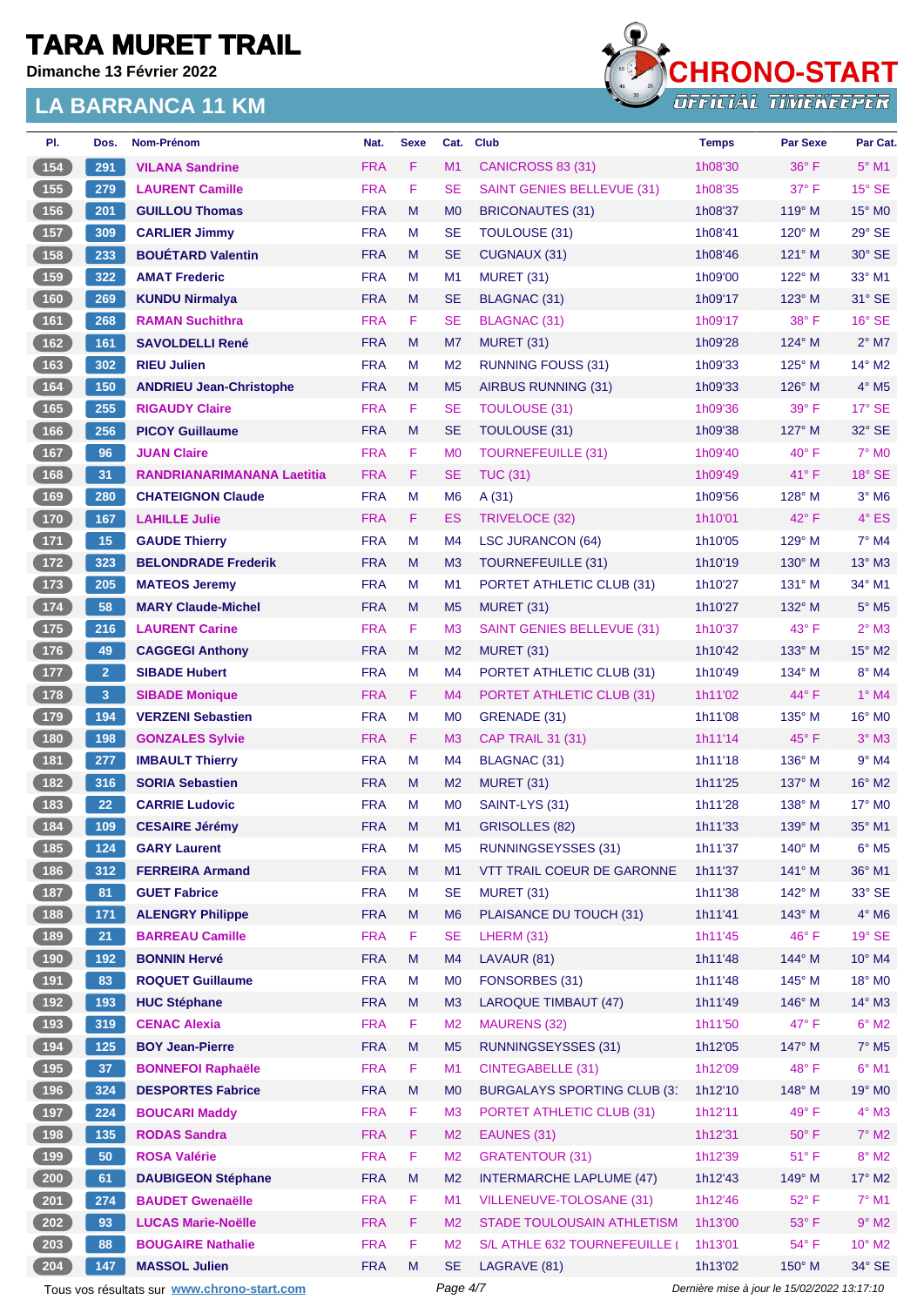**Dimanche 13 Février 2022**



| PI.                                        | Dos.            | Nom-Prénom                                  | Nat.       | <b>Sexe</b> | Cat.           | <b>Club</b>                       | <b>Temps</b> | <b>Par Sexe</b>                             | Par Cat.                 |
|--------------------------------------------|-----------------|---------------------------------------------|------------|-------------|----------------|-----------------------------------|--------------|---------------------------------------------|--------------------------|
| 154                                        | 291             | <b>VILANA Sandrine</b>                      | <b>FRA</b> | F.          | M1             | CANICROSS 83 (31)                 | 1h08'30      | $36^{\circ}$ F                              | $5^\circ$ M1             |
| 155                                        | 279             | <b>LAURENT Camille</b>                      | <b>FRA</b> | F           | SE             | SAINT GENIES BELLEVUE (31)        | 1h08'35      | $37^\circ$ F                                | $15^\circ$ SE            |
| 156                                        | 201             | <b>GUILLOU Thomas</b>                       | <b>FRA</b> | M           | M <sub>0</sub> | <b>BRICONAUTES (31)</b>           | 1h08'37      | $119^\circ$ M                               | 15° MO                   |
| $157$                                      | 309             | <b>CARLIER Jimmy</b>                        | <b>FRA</b> | M           | <b>SE</b>      | <b>TOULOUSE (31)</b>              | 1h08'41      | $120^\circ$ M                               | 29° SE                   |
| 158                                        | 233             | <b>BOUETARD Valentin</b>                    | <b>FRA</b> | M           | SE             | CUGNAUX (31)                      | 1h08'46      | $121^\circ$ M                               | $30^\circ$ SE            |
| 159                                        | 322             | <b>AMAT Frederic</b>                        | <b>FRA</b> | M           | M <sub>1</sub> | <b>MURET (31)</b>                 | 1h09'00      | 122° M                                      | 33° M1                   |
| 160                                        | 269             | <b>KUNDU Nirmalya</b>                       | <b>FRA</b> | M           | <b>SE</b>      | BLAGNAC (31)                      | 1h09'17      | $123^\circ$ M                               | $31^\circ$ SE            |
| 161                                        | 268             | <b>RAMAN Suchithra</b>                      | <b>FRA</b> | F.          | SE             | <b>BLAGNAC (31)</b>               | 1h09'17      | 38° F                                       | $16°$ SE                 |
| 162                                        | 161             | <b>SAVOLDELLI René</b>                      | <b>FRA</b> | M           | M7             | MURET (31)                        | 1h09'28      | 124° M                                      | $2^{\circ}$ M7           |
| 163                                        | 302             | <b>RIEU Julien</b>                          | <b>FRA</b> | M           | M <sub>2</sub> | <b>RUNNING FOUSS (31)</b>         | 1h09'33      | $125^\circ$ M                               | 14° M2                   |
| 164                                        | 150             | <b>ANDRIEU Jean-Christophe</b>              | <b>FRA</b> | M           | M <sub>5</sub> | AIRBUS RUNNING (31)               | 1h09'33      | $126^\circ$ M                               | $4^\circ$ M <sub>5</sub> |
| 165                                        | 255             | <b>RIGAUDY Claire</b>                       | <b>FRA</b> | F.          | SE             | <b>TOULOUSE (31)</b>              | 1h09'36      | 39° F                                       | $17^\circ$ SE            |
| 166                                        | 256             | <b>PICOY Guillaume</b>                      | <b>FRA</b> | M           | <b>SE</b>      | TOULOUSE (31)                     | 1h09'38      | $127^\circ$ M                               | 32° SE                   |
| 167                                        | 96              | <b>JUAN Claire</b>                          | <b>FRA</b> | F.          | M <sub>0</sub> | <b>TOURNEFEUILLE (31)</b>         | 1h09'40      | $40^{\circ}$ F                              | $7^\circ$ MO             |
| $168$                                      | 31              | <b>RANDRIANARIMANANA Laetitia</b>           | <b>FRA</b> | F.          | <b>SE</b>      | <b>TUC (31)</b>                   | 1h09'49      | $41^{\circ}$ F                              | 18° SE                   |
| 169                                        | 280             | <b>CHATEIGNON Claude</b>                    | <b>FRA</b> | M           | M <sub>6</sub> | A(31)                             | 1h09'56      | $128^\circ$ M                               | $3°$ M <sub>6</sub>      |
| 170                                        | 167             | <b>LAHILLE Julie</b>                        | <b>FRA</b> | F.          | ES             | TRIVELOCE (32)                    | 1h10'01      | 42° F                                       | $4^\circ$ ES             |
| $171$                                      | 15              | <b>GAUDE Thierry</b>                        | <b>FRA</b> | M           | M4             | <b>LSC JURANCON (64)</b>          | 1h10'05      | $129^\circ$ M                               | $7^\circ$ M4             |
| 172                                        | 323             | <b>BELONDRADE Frederik</b>                  | <b>FRA</b> | M           | M <sub>3</sub> | <b>TOURNEFEUILLE (31)</b>         | 1h10'19      | 130° M                                      | $13^\circ$ M3            |
| 173                                        | 205             | <b>MATEOS Jeremy</b>                        | <b>FRA</b> | M           | M <sub>1</sub> | PORTET ATHLETIC CLUB (31)         | 1h10'27      | $131^\circ$ M                               | 34° M1                   |
| $174$                                      | 58              | <b>MARY Claude-Michel</b>                   | <b>FRA</b> | M           | M <sub>5</sub> | <b>MURET (31)</b>                 | 1h10'27      | $132^\circ$ M                               | $5^\circ$ M5             |
| $175$                                      | 216             | <b>LAURENT Carine</b>                       | <b>FRA</b> | F           | M <sub>3</sub> | <b>SAINT GENIES BELLEVUE (31)</b> | 1h10'37      | 43° F                                       | $2^{\circ}$ M3           |
| $176$                                      | 49              | <b>CAGGEGI Anthony</b>                      | <b>FRA</b> | M           | M <sub>2</sub> | MURET (31)                        | 1h10'42      | $133^\circ$ M                               | 15° M2                   |
| 177                                        | 2 <sup>1</sup>  | <b>SIBADE Hubert</b>                        | <b>FRA</b> | M           | M4             | PORTET ATHLETIC CLUB (31)         | 1h10'49      | $134^\circ$ M                               | $8^\circ$ M4             |
| $178$                                      | 3               | <b>SIBADE Monique</b>                       | <b>FRA</b> | F.          | M4             | PORTET ATHLETIC CLUB (31)         | 1h11'02      | $44^{\circ}$ F                              | $1^\circ$ M4             |
| $179$                                      | 194             | <b>VERZENI Sebastien</b>                    | <b>FRA</b> | M           | M <sub>0</sub> | GRENADE (31)                      | 1h11'08      | 135° M                                      | 16° MO                   |
| 180                                        | 198             | <b>GONZALES Sylvie</b>                      | <b>FRA</b> | F.          | M <sub>3</sub> | <b>CAP TRAIL 31 (31)</b>          | 1h11'14      | $45^{\circ}$ F                              | $3^\circ$ M3             |
| 181                                        | 277             | <b>IMBAULT Thierry</b>                      | <b>FRA</b> | M           | M4             | BLAGNAC (31)                      | 1h11'18      | 136° M                                      | $9°$ M4                  |
| 182                                        | 316             | <b>SORIA Sebastien</b>                      | <b>FRA</b> | M           | M <sub>2</sub> | MURET (31)                        | 1h11'25      | $137^\circ$ M                               | $16^{\circ}$ M2          |
| 183                                        | 22              | <b>CARRIE Ludovic</b>                       | <b>FRA</b> | M           | M <sub>0</sub> | SAINT-LYS (31)                    | 1h11'28      | $138^\circ$ M                               | $17^\circ$ MO            |
| $\boxed{184}$                              | 109             | <b>CESAIRE Jérémy</b>                       | <b>FRA</b> | M           | M1             | GRISOLLES (82)                    | 1h11'33      | $139^\circ$ M                               | $35^\circ$ M1            |
| 185                                        | 124             | <b>GARY Laurent</b>                         | <b>FRA</b> | M           | M <sub>5</sub> | <b>RUNNINGSEYSSES (31)</b>        | 1h11'37      | $140^\circ$ M                               | $6^\circ$ M5             |
| 186                                        | 312             | <b>FERREIRA Armand</b>                      | <b>FRA</b> | M           | M1             | VTT TRAIL COEUR DE GARONNE        | 1h11'37      | 141° M                                      | 36° M1                   |
| 187                                        | 81              | <b>GUET Fabrice</b>                         | <b>FRA</b> | M           | <b>SE</b>      | <b>MURET (31)</b>                 | 1h11'38      | 142° M                                      | 33° SE                   |
| 188                                        | 171             | <b>ALENGRY Philippe</b>                     | <b>FRA</b> | M           | M <sub>6</sub> | PLAISANCE DU TOUCH (31)           | 1h11'41      | 143° M                                      | $4^\circ$ M6             |
| 189                                        | 21              | <b>BARREAU Camille</b>                      | <b>FRA</b> | F           | <b>SE</b>      | LHERM (31)                        | 1h11'45      | 46°F                                        | $19°$ SE                 |
| 190                                        | 192             | <b>BONNIN Hervé</b>                         | <b>FRA</b> | M           | M4             | LAVAUR (81)                       | 1h11'48      | 144° M                                      | $10^{\circ}$ M4          |
| 191                                        | 83              | <b>ROQUET Guillaume</b>                     | <b>FRA</b> | M           | M <sub>0</sub> | FONSORBES (31)                    | 1h11'48      | $145^\circ$ M                               | 18° MO                   |
| 192                                        | 193             | <b>HUC Stéphane</b>                         | <b>FRA</b> | M           | M3             | <b>LAROQUE TIMBAUT (47)</b>       | 1h11'49      | 146° M                                      | $14^{\circ}$ M3          |
| 193                                        | 319             | <b>CENAC Alexia</b>                         | <b>FRA</b> | F           | M <sub>2</sub> | <b>MAURENS (32)</b>               | 1h11'50      | 47° F                                       | $6^\circ$ M2             |
| $\begin{array}{c} \boxed{194} \end{array}$ | 125             | <b>BOY Jean-Pierre</b>                      | <b>FRA</b> | M           | M <sub>5</sub> | <b>RUNNINGSEYSSES (31)</b>        | 1h12'05      | 147° M                                      | $7^\circ$ M <sub>5</sub> |
| 195                                        | 37 <sub>z</sub> | <b>BONNEFOI Raphaële</b>                    | <b>FRA</b> | F.          | M1             | CINTEGABELLE (31)                 | 1h12'09      | 48°F                                        | $6^{\circ}$ M1           |
| 196                                        | 324             | <b>DESPORTES Fabrice</b>                    | <b>FRA</b> | M           | M <sub>0</sub> | BURGALAYS SPORTING CLUB (3'       | 1h12'10      | 148° M                                      | 19° M <sub>0</sub>       |
|                                            |                 |                                             |            |             |                |                                   |              | 49° F                                       |                          |
| 197<br>198                                 | 224             | <b>BOUCARI Maddy</b>                        | <b>FRA</b> | F.          | M <sub>3</sub> | PORTET ATHLETIC CLUB (31)         | 1h12'11      |                                             | $4^\circ$ M3             |
|                                            | 135             | <b>RODAS Sandra</b>                         | <b>FRA</b> | F<br>F      | M <sub>2</sub> | EAUNES (31)                       | 1h12'31      | $50^{\circ}$ F                              | $7^\circ$ M2             |
| 199                                        | 50              | <b>ROSA Valérie</b>                         | <b>FRA</b> |             | M <sub>2</sub> | <b>GRATENTOUR (31)</b>            | 1h12'39      | $51^{\circ}$ F                              | $8^\circ$ M2             |
| 200                                        | 61              | <b>DAUBIGEON Stéphane</b>                   | <b>FRA</b> | M           | M <sub>2</sub> | <b>INTERMARCHE LAPLUME (47)</b>   | 1h12'43      | 149° M                                      | 17° M2                   |
| 201                                        | 274             | <b>BAUDET Gwenaëlle</b>                     | <b>FRA</b> | F.          | M1             | VILLENEUVE-TOLOSANE (31)          | 1h12'46      | 52°F                                        | $7^\circ$ M1             |
| 202                                        | 93              | <b>LUCAS Marie-Noëlle</b>                   | <b>FRA</b> | F.          | M <sub>2</sub> | STADE TOULOUSAIN ATHLETISM        | 1h13'00      | $53^\circ$ F                                | $9°$ M2                  |
| 203                                        | 88              | <b>BOUGAIRE Nathalie</b>                    | <b>FRA</b> | F           | M <sub>2</sub> | S/L ATHLE 632 TOURNEFEUILLE (     | 1h13'01      | 54° F                                       | 10° M2                   |
| 204                                        | 147             | <b>MASSOL Julien</b>                        | <b>FRA</b> | M           | <b>SE</b>      | LAGRAVE (81)                      | 1h13'02      | 150° M                                      | $34^\circ$ SE            |
|                                            |                 | Tous vos résultats sur www.chrono-start.com |            |             | Page 4/7       |                                   |              | Dernière mise à jour le 15/02/2022 13:17:10 |                          |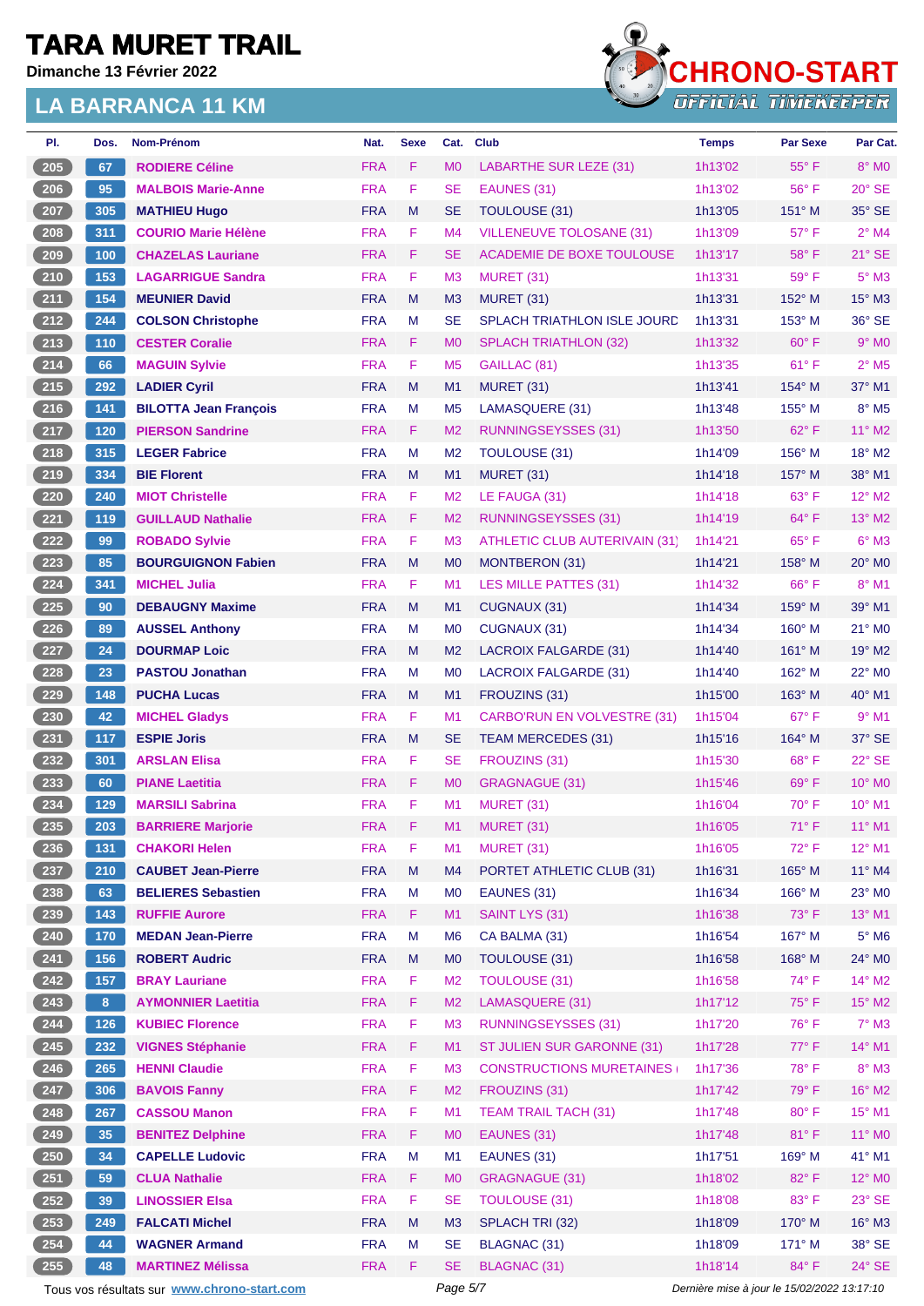**Dimanche 13 Février 2022**



| PI.   | Dos.           | Nom-Prénom                                  | Nat.       | <b>Sexe</b> | Cat.           | <b>Club</b>                          | <b>Temps</b> | <b>Par Sexe</b>                             | Par Cat.                   |
|-------|----------------|---------------------------------------------|------------|-------------|----------------|--------------------------------------|--------------|---------------------------------------------|----------------------------|
| 205   | 67             | <b>RODIERE Céline</b>                       | <b>FRA</b> | F.          | M <sub>0</sub> | <b>LABARTHE SUR LEZE (31)</b>        | 1h13'02      | $55^{\circ}$ F                              | $8^\circ$ MO               |
| 206   | 95             | <b>MALBOIS Marie-Anne</b>                   | <b>FRA</b> | F           | <b>SE</b>      | EAUNES (31)                          | 1h13'02      | $56^{\circ}$ F                              | $20^\circ$ SE              |
| 207   | 305            | <b>MATHIEU Hugo</b>                         | <b>FRA</b> | M           | <b>SE</b>      | <b>TOULOUSE (31)</b>                 | 1h13'05      | 151° M                                      | 35° SE                     |
| 208   | 311            | <b>COURIO Marie Hélène</b>                  | <b>FRA</b> | F.          | M <sub>4</sub> | <b>VILLENEUVE TOLOSANE (31)</b>      | 1h13'09      | 57° F                                       | $2^{\circ}$ M4             |
| 209   | 100            | <b>CHAZELAS Lauriane</b>                    | <b>FRA</b> | F.          | <b>SE</b>      | ACADEMIE DE BOXE TOULOUSE            | 1h13'17      | $58^{\circ}$ F                              | $21^\circ$ SE              |
| 210   | 153            | <b>LAGARRIGUE Sandra</b>                    | <b>FRA</b> | F           | M <sub>3</sub> | <b>MURET (31)</b>                    | 1h13'31      | 59° F                                       | $5^\circ$ M3               |
| 211   | 154            | <b>MEUNIER David</b>                        | <b>FRA</b> | M           | M <sub>3</sub> | <b>MURET (31)</b>                    | 1h13'31      | 152° M                                      | 15° M3                     |
| 212   | 244            | <b>COLSON Christophe</b>                    | <b>FRA</b> | М           | <b>SE</b>      | <b>SPLACH TRIATHLON ISLE JOURD</b>   | 1h13'31      | $153^\circ$ M                               | $36^\circ$ SE              |
| 213   | 110            | <b>CESTER Coralie</b>                       | <b>FRA</b> | F.          | M <sub>0</sub> | <b>SPLACH TRIATHLON (32)</b>         | 1h13'32      | $60^\circ$ F                                | $9°$ MO                    |
| $214$ | 66             | <b>MAGUIN Sylvie</b>                        | <b>FRA</b> | F           | M <sub>5</sub> | GAILLAC (81)                         | 1h13'35      | $61^{\circ}$ F                              | $2^{\circ}$ M <sub>5</sub> |
| 215   | 292            | <b>LADIER Cyril</b>                         | <b>FRA</b> | M           | M1             | <b>MURET (31)</b>                    | 1h13'41      | 154° M                                      | $37^\circ$ M1              |
| 216   | 141            | <b>BILOTTA Jean François</b>                | <b>FRA</b> | M           | M <sub>5</sub> | LAMASQUERE (31)                      | 1h13'48      | 155° M                                      | 8° M5                      |
| 217   | 120            | <b>PIERSON Sandrine</b>                     | <b>FRA</b> | F           | M <sub>2</sub> | <b>RUNNINGSEYSSES (31)</b>           | 1h13'50      | $62^{\circ}$ F                              | 11° M2                     |
| 218   | 315            | <b>LEGER Fabrice</b>                        | <b>FRA</b> | М           | M <sub>2</sub> | TOULOUSE (31)                        | 1h14'09      | 156° M                                      | 18° M2                     |
| 219   | 334            | <b>BIE Florent</b>                          | <b>FRA</b> | M           | M1             | MURET (31)                           | 1h14'18      | $157^\circ$ M                               | 38° M1                     |
| 220   | 240            | <b>MIOT Christelle</b>                      | <b>FRA</b> | F.          | M <sub>2</sub> | LE FAUGA (31)                        | 1h14'18      | 63° F                                       | 12° M2                     |
| 221   | 119            | <b>GUILLAUD Nathalie</b>                    | <b>FRA</b> | F.          | M <sub>2</sub> | <b>RUNNINGSEYSSES (31)</b>           | 1h14'19      | 64°F                                        | 13° M2                     |
| 222   | 99             | <b>ROBADO Sylvie</b>                        | <b>FRA</b> | F.          | M <sub>3</sub> | <b>ATHLETIC CLUB AUTERIVAIN (31)</b> | 1h14'21      | 65°F                                        | $6°$ M3                    |
| 223   | 85             | <b>BOURGUIGNON Fabien</b>                   | <b>FRA</b> | M           | M <sub>0</sub> | MONTBERON (31)                       | 1h14'21      | $158^\circ$ M                               | $20^\circ$ MO              |
| 224   | 341            | <b>MICHEL Julia</b>                         | <b>FRA</b> | F.          | M <sub>1</sub> | <b>LES MILLE PATTES (31)</b>         | 1h14'32      | 66°F                                        | 8° M1                      |
| 225   | 90             | <b>DEBAUGNY Maxime</b>                      | <b>FRA</b> | M           | M1             | CUGNAUX (31)                         | 1h14'34      | 159° M                                      | 39° M1                     |
| 226   | 89             | <b>AUSSEL Anthony</b>                       | <b>FRA</b> | М           | M <sub>0</sub> | CUGNAUX (31)                         | 1h14'34      | $160^\circ$ M                               | 21° MO                     |
| 227   | 24             | <b>DOURMAP Loic</b>                         | <b>FRA</b> | M           | M <sub>2</sub> | LACROIX FALGARDE (31)                | 1h14'40      | $161^\circ$ M                               | 19° M2                     |
| 228   | 23             | <b>PASTOU Jonathan</b>                      | <b>FRA</b> | М           | M <sub>0</sub> | LACROIX FALGARDE (31)                | 1h14'40      | $162^\circ$ M                               | $22^{\circ}$ MO            |
| 229   | 148            | <b>PUCHA Lucas</b>                          | <b>FRA</b> | M           | M <sub>1</sub> | FROUZINS (31)                        | 1h15'00      | $163^\circ$ M                               | 40° M1                     |
| 230   | 42             | <b>MICHEL Gladys</b>                        | <b>FRA</b> | F.          | M <sub>1</sub> | CARBO'RUN EN VOLVESTRE (31)          | 1h15'04      | 67°F                                        | $9°$ M1                    |
| 231   | 117            | <b>ESPIE Joris</b>                          | <b>FRA</b> | M           | <b>SE</b>      | <b>TEAM MERCEDES (31)</b>            | 1h15'16      | 164° M                                      | 37° SE                     |
| 232   | 301            | <b>ARSLAN Elisa</b>                         | <b>FRA</b> | F.          | <b>SE</b>      | FROUZINS (31)                        | 1h15'30      | $68^{\circ}$ F                              | 22° SE                     |
| 233   | 60             | <b>PIANE Laetitia</b>                       | <b>FRA</b> | F           | M <sub>0</sub> | <b>GRAGNAGUE (31)</b>                | 1h15'46      | $69^\circ$ F                                | 10° MO                     |
| 234   | 129            | <b>MARSILI Sabrina</b>                      | <b>FRA</b> | F           | M1             | MURET (31)                           | 1h16'04      | $70^\circ$ F                                | 10° M1                     |
| 235   | 203            | <b>BARRIERE Marjorie</b>                    | <b>FRA</b> | F           | M <sub>1</sub> | MURET (31)                           | 1h16'05      | 71°F                                        | 11° M1                     |
| 236   | 131            | <b>CHAKORI Helen</b>                        | <b>FRA</b> | F           | M1             | MURET (31)                           | 1h16'05      | 72°F                                        | 12° M1                     |
| 237   | 210            | <b>CAUBET Jean-Pierre</b>                   | <b>FRA</b> | M           | M4             | PORTET ATHLETIC CLUB (31)            | 1h16'31      | 165° M                                      | 11° M4                     |
| 238   | 63             | <b>BELIERES Sebastien</b>                   | <b>FRA</b> | M           | M <sub>0</sub> | EAUNES (31)                          | 1h16'34      | 166° M                                      | 23° MO                     |
| 239   | 143            | <b>RUFFIE Aurore</b>                        | <b>FRA</b> | F.          | M1             | SAINT LYS (31)                       | 1h16'38      | $73^\circ$ F                                | 13° M1                     |
| 240   | 170            | <b>MEDAN Jean-Pierre</b>                    | <b>FRA</b> | M           | M <sub>6</sub> | CA BALMA (31)                        | 1h16'54      | 167° M                                      | $5^\circ$ M6               |
| $241$ | 156            | <b>ROBERT Audric</b>                        | <b>FRA</b> | M           | M <sub>0</sub> | <b>TOULOUSE (31)</b>                 | 1h16'58      | 168° M                                      | 24° MO                     |
| 242   | 157            | <b>BRAY Lauriane</b>                        | <b>FRA</b> | F           | M <sub>2</sub> | <b>TOULOUSE (31)</b>                 | 1h16'58      | 74° F                                       | $14^{\circ}$ M2            |
| 243   | 8 <sup>2</sup> | <b>AYMONNIER Laetitia</b>                   | <b>FRA</b> | F.          | M <sub>2</sub> | LAMASQUERE (31)                      | 1h17'12      | $75^{\circ}$ F                              | 15° M2                     |
| 244   | 126            | <b>KUBIEC Florence</b>                      | <b>FRA</b> | F           | M3             | <b>RUNNINGSEYSSES (31)</b>           | 1h17'20      | 76°F                                        | $7^\circ$ M3               |
| 245   | 232            | <b>VIGNES Stéphanie</b>                     | <b>FRA</b> | F.          | M1             | ST JULIEN SUR GARONNE (31)           | 1h17'28      | 77° F                                       | 14° M1                     |
| 246   | 265            | <b>HENNI Claudie</b>                        | <b>FRA</b> | F           | M <sub>3</sub> | <b>CONSTRUCTIONS MURETAINES</b>      | 1h17'36      | 78°F                                        | $8^\circ$ M3               |
| 247   | 306            | <b>BAVOIS Fanny</b>                         | <b>FRA</b> | F           | M <sub>2</sub> | FROUZINS (31)                        | 1h17'42      | 79°F                                        | 16° M2                     |
| 248   | 267            | <b>CASSOU Manon</b>                         | <b>FRA</b> | F           | M <sub>1</sub> | <b>TEAM TRAIL TACH (31)</b>          | 1h17'48      | 80° F                                       | 15° M1                     |
| 249   | 35             | <b>BENITEZ Delphine</b>                     | <b>FRA</b> | F           | M <sub>0</sub> | EAUNES (31)                          | 1h17'48      | 81°F                                        | 11° MO                     |
| 250   | 34             | <b>CAPELLE Ludovic</b>                      | <b>FRA</b> | M           | M1             | EAUNES (31)                          | 1h17'51      | 169° M                                      | 41° M1                     |
| 251   | 59             | <b>CLUA Nathalie</b>                        | <b>FRA</b> | F.          | M <sub>0</sub> | <b>GRAGNAGUE (31)</b>                | 1h18'02      | 82°F                                        | 12° MO                     |
| 252   | 39             | <b>LINOSSIER Elsa</b>                       | <b>FRA</b> | F           | <b>SE</b>      | <b>TOULOUSE (31)</b>                 | 1h18'08      | 83° F                                       | 23° SE                     |
| 253   | 249            | <b>FALCATI Michel</b>                       | <b>FRA</b> | ${\sf M}$   | M3             | SPLACH TRI (32)                      | 1h18'09      | 170° M                                      | $16^\circ$ M3              |
| 254   | 44             | <b>WAGNER Armand</b>                        | <b>FRA</b> | М           | <b>SE</b>      | <b>BLAGNAC (31)</b>                  | 1h18'09      | 171° M                                      | 38° SE                     |
| 255   | 48             | <b>MARTINEZ Mélissa</b>                     | <b>FRA</b> | F.          | <b>SE</b>      | BLAGNAC (31)                         | 1h18'14      | 84°F                                        | 24° SE                     |
|       |                | Tous vos résultats sur www.chrono-start.com |            |             | Page 5/7       |                                      |              | Dernière mise à jour le 15/02/2022 13:17:10 |                            |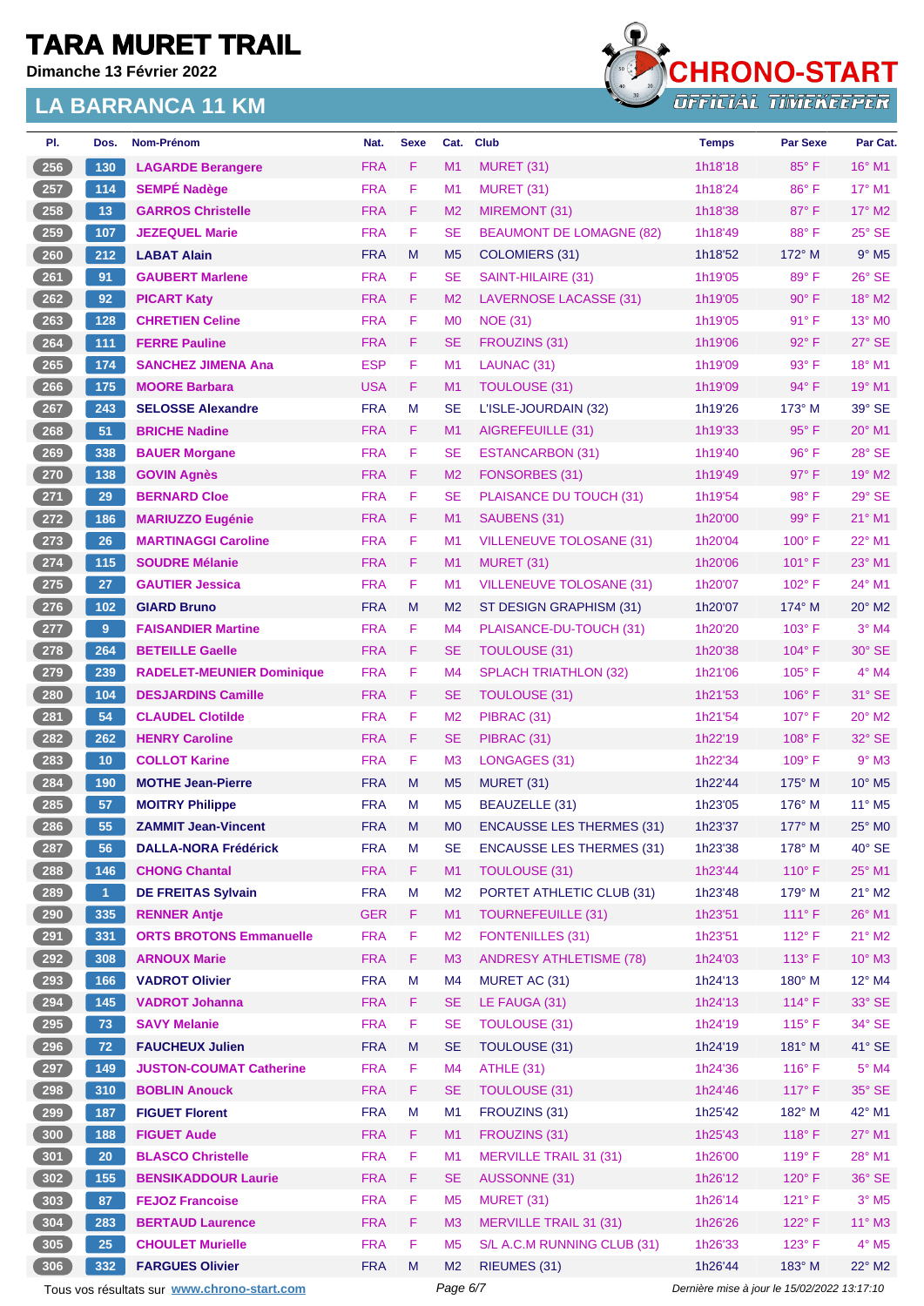**Dimanche 13 Février 2022**



| PI.                | Dos.            | <b>Nom-Prénom</b>                           | Nat.       | <b>Sexe</b> | Cat.           | <b>Club</b>                      | <b>Temps</b>                                | <b>Par Sexe</b> | Par Cat.                    |
|--------------------|-----------------|---------------------------------------------|------------|-------------|----------------|----------------------------------|---------------------------------------------|-----------------|-----------------------------|
| 256                | 130             | <b>LAGARDE Berangere</b>                    | <b>FRA</b> | F           | M1             | <b>MURET (31)</b>                | 1h18'18                                     | 85°F            | 16° M1                      |
| 257                | 114             | <b>SEMPÉ Nadège</b>                         | <b>FRA</b> | F           | M <sub>1</sub> | <b>MURET (31)</b>                | 1h18'24                                     | $86^{\circ}$ F  | $17^\circ$ M1               |
| 258                | 13              | <b>GARROS Christelle</b>                    | <b>FRA</b> | F           | M <sub>2</sub> | MIREMONT (31)                    | 1h18'38                                     | 87°F            | $17^\circ$ M2               |
| 259                | 107             | <b>JEZEQUEL Marie</b>                       | <b>FRA</b> | F           | <b>SE</b>      | <b>BEAUMONT DE LOMAGNE (82)</b>  | 1h18'49                                     | 88°F            | 25° SE                      |
| 260                | 212             | <b>LABAT Alain</b>                          | <b>FRA</b> | M           | M <sub>5</sub> | <b>COLOMIERS (31)</b>            | 1h18'52                                     | $172^\circ$ M   | $9°$ M <sub>5</sub>         |
| 261                | 91              | <b>GAUBERT Marlene</b>                      | <b>FRA</b> | F           | <b>SE</b>      | SAINT-HILAIRE (31)               | 1h19'05                                     | 89°F            | 26° SE                      |
| 262                | 92              | <b>PICART Katy</b>                          | <b>FRA</b> | F           | M <sub>2</sub> | <b>LAVERNOSE LACASSE (31)</b>    | 1h19'05                                     | $90^\circ$ F    | 18° M2                      |
| 263                | 128             | <b>CHRETIEN Celine</b>                      | <b>FRA</b> | F           | MО             | <b>NOE (31)</b>                  | 1h19'05                                     | $91^{\circ}$ F  | 13° MO                      |
| 264                | 111             | <b>FERRE Pauline</b>                        | <b>FRA</b> | F           | SE             | FROUZINS (31)                    | 1h19'06                                     | $92^{\circ}$ F  | $27^\circ$ SE               |
| 265                | 174             | <b>SANCHEZ JIMENA Ana</b>                   | <b>ESP</b> | F           | M1             | LAUNAC (31)                      | 1h19'09                                     | 93° F           | 18° M1                      |
| 266                | 175             | <b>MOORE Barbara</b>                        | <b>USA</b> | F           | M1             | <b>TOULOUSE (31)</b>             | 1h19'09                                     | 94° F           | 19° M1                      |
| 267                | 243             | <b>SELOSSE Alexandre</b>                    | <b>FRA</b> | M           | <b>SE</b>      | L'ISLE-JOURDAIN (32)             | 1h19'26                                     | 173° M          | 39° SE                      |
| 268                | 51              | <b>BRICHE Nadine</b>                        | <b>FRA</b> | F           | M <sub>1</sub> | AIGREFEUILLE (31)                | 1h19'33                                     | $95^{\circ}$ F  | $20^\circ$ M1               |
| 269                | 338             | <b>BAUER Morgane</b>                        | <b>FRA</b> | F           | SE             | <b>ESTANCARBON (31)</b>          | 1h19'40                                     | 96°F            | 28° SE                      |
| $270$              | 138             | <b>GOVIN Agnès</b>                          | <b>FRA</b> | F           | M <sub>2</sub> | FONSORBES (31)                   | 1h19'49                                     | $97^\circ$ F    | 19° M2                      |
| 271                | 29              | <b>BERNARD Cloe</b>                         | <b>FRA</b> | F           | SE             | PLAISANCE DU TOUCH (31)          | 1h19'54                                     | 98°F            | 29° SE                      |
| 272                | 186             | <b>MARIUZZO Eugénie</b>                     | <b>FRA</b> | F           | M <sub>1</sub> | SAUBENS (31)                     | 1h20'00                                     | 99° F           | 21° M1                      |
| 273                | 26              | <b>MARTINAGGI Caroline</b>                  | <b>FRA</b> | F           | M1             | <b>VILLENEUVE TOLOSANE (31)</b>  | 1h20'04                                     | $100^\circ$ F   | 22° M1                      |
| 274                | 115             | <b>SOUDRE Mélanie</b>                       | <b>FRA</b> | F           | M <sub>1</sub> | MURET (31)                       | 1h20'06                                     | $101^{\circ}$ F | 23° M1                      |
| 275                | 27              | <b>GAUTIER Jessica</b>                      | <b>FRA</b> | F           | M1             | <b>VILLENEUVE TOLOSANE (31)</b>  | 1h20'07                                     | $102^{\circ}$ F | $24^{\circ}$ M1             |
| 276                | $102$           | <b>GIARD Bruno</b>                          | <b>FRA</b> | M           | M <sub>2</sub> | ST DESIGN GRAPHISM (31)          | 1h20'07                                     | $174^\circ$ M   | $20^\circ$ M <sub>2</sub>   |
| 277                | $9^{\circ}$     | <b>FAISANDIER Martine</b>                   | <b>FRA</b> | F           | M4             | PLAISANCE-DU-TOUCH (31)          | 1h20'20                                     | $103^\circ$ F   | $3°$ M4                     |
| 278                | 264             | <b>BETEILLE Gaelle</b>                      | <b>FRA</b> | F           | SE             | <b>TOULOUSE (31)</b>             | 1h20'38                                     | 104°F           | 30° SE                      |
| 279                | 239             | <b>RADELET-MEUNIER Dominique</b>            | <b>FRA</b> | F           | M4             | <b>SPLACH TRIATHLON (32)</b>     | 1h21'06                                     | $105^{\circ}$ F | $4^{\circ}$ M4              |
| 280                | 104             | <b>DESJARDINS Camille</b>                   | <b>FRA</b> | F           | SE             | <b>TOULOUSE (31)</b>             | 1h21'53                                     | $106^\circ$ F   | 31° SE                      |
| 281                | 54              | <b>CLAUDEL Clotilde</b>                     | <b>FRA</b> | F           | M <sub>2</sub> | PIBRAC (31)                      | 1h21'54                                     | $107^\circ$ F   | $20^\circ$ M2               |
| 282                | 262             | <b>HENRY Caroline</b>                       | <b>FRA</b> | F           | SE             | PIBRAC (31)                      | 1h22'19                                     | $108^\circ$ F   | 32° SE                      |
| 283                | 10              | <b>COLLOT Karine</b>                        | <b>FRA</b> | F           | M <sub>3</sub> | LONGAGES (31)                    | 1h22'34                                     | 109° F          | $9°$ M3                     |
| 284                | 190             | <b>MOTHE Jean-Pierre</b>                    | <b>FRA</b> | M           | M <sub>5</sub> | <b>MURET (31)</b>                | 1h22'44                                     | $175^\circ$ M   | $10^{\circ}$ M <sub>5</sub> |
| 285                | 57              | <b>MOITRY Philippe</b>                      | <b>FRA</b> | M           | M <sub>5</sub> | <b>BEAUZELLE (31)</b>            | 1h23'05                                     | $176^\circ$ M   | $11^{\circ}$ M <sub>5</sub> |
| $\left(286\right)$ | 55              | <b>ZAMMIT Jean-Vincent</b>                  | <b>FRA</b> | M           | МO             | <b>ENCAUSSE LES THERMES (31)</b> | 1h23'37                                     | $177^\circ$ M   | 25° MO                      |
| 287                | 56              | <b>DALLA-NORA Frédérick</b>                 | <b>FRA</b> | М           | SE             | <b>ENCAUSSE LES THERMES (31)</b> | 1h23'38                                     | $178^\circ$ M   | $40^\circ$ SE               |
| 288                | 146             | <b>CHONG Chantal</b>                        | <b>FRA</b> | F           | M1             | <b>TOULOUSE (31)</b>             | 1h23'44                                     | $110^{\circ}$ F | 25° M1                      |
| 289                | $\mathbf{1}$    | <b>DE FREITAS Sylvain</b>                   | <b>FRA</b> | M           | M <sub>2</sub> | PORTET ATHLETIC CLUB (31)        | 1h23'48                                     | $179^\circ$ M   | $21^{\circ}$ M2             |
| 290                | 335             | <b>RENNER Antje</b>                         | <b>GER</b> | F.          | M1             | <b>TOURNEFEUILLE (31)</b>        | 1h23'51                                     | $111°$ F        | 26° M1                      |
| 291                | 331             | <b>ORTS BROTONS Emmanuelle</b>              | <b>FRA</b> | F           | M <sub>2</sub> | <b>FONTENILLES (31)</b>          | 1h23'51                                     | 112°F           | $21^\circ$ M2               |
| 292                | 308             | <b>ARNOUX Marie</b>                         | <b>FRA</b> | F           | M <sub>3</sub> | <b>ANDRESY ATHLETISME (78)</b>   | 1h24'03                                     | $113^\circ$ F   | $10^{\circ}$ M3             |
| 293                | 166             | <b>VADROT Olivier</b>                       | <b>FRA</b> | M           | M4             | MURET AC (31)                    | 1h24'13                                     | 180° M          | $12^{\circ}$ M4             |
| 294                | 145             | <b>VADROT Johanna</b>                       | <b>FRA</b> | F           | <b>SE</b>      | LE FAUGA (31)                    | 1h24'13                                     | $114^{\circ}$ F | 33° SE                      |
| 295                | 73              | <b>SAVY Melanie</b>                         | <b>FRA</b> | F           | <b>SE</b>      | <b>TOULOUSE (31)</b>             | 1h24'19                                     | $115^{\circ}$ F | 34° SE                      |
| 296                | 72              | <b>FAUCHEUX Julien</b>                      | <b>FRA</b> | M           | <b>SE</b>      | TOULOUSE (31)                    | 1h24'19                                     | 181° M          | 41° SE                      |
| 297                | 149             | <b>JUSTON-COUMAT Catherine</b>              | <b>FRA</b> | F           | M4             | ATHLE (31)                       | 1h24'36                                     | 116° F          | $5^\circ$ M4                |
| 298                | 310             | <b>BOBLIN Anouck</b>                        | <b>FRA</b> | F           | <b>SE</b>      | <b>TOULOUSE (31)</b>             | 1h24'46                                     | $117^\circ$ F   | $35^\circ$ SE               |
| 299                | 187             | <b>FIGUET Florent</b>                       | <b>FRA</b> | M           | M1             | FROUZINS (31)                    | 1h25'42                                     | 182° M          | 42° M1                      |
| 300                | 188             | <b>FIGUET Aude</b>                          | <b>FRA</b> | F           | M1             | FROUZINS (31)                    | 1h25'43                                     | 118°F           | 27° M1                      |
| 301                | 20 <sub>2</sub> | <b>BLASCO Christelle</b>                    | <b>FRA</b> | F           | M1             | <b>MERVILLE TRAIL 31 (31)</b>    | 1h26'00                                     | 119° F          | 28° M1                      |
| 302                | 155             | <b>BENSIKADDOUR Laurie</b>                  | <b>FRA</b> | F.          | <b>SE</b>      | AUSSONNE (31)                    | 1h26'12                                     | $120^\circ$ F   | 36° SE                      |
| 303                | 87              | <b>FEJOZ Francoise</b>                      | <b>FRA</b> | F           | M <sub>5</sub> | <b>MURET (31)</b>                | 1h26'14                                     | $121^\circ F$   | $3^\circ$ M5                |
| 304                | 283             | <b>BERTAUD Laurence</b>                     | <b>FRA</b> | F           | M <sub>3</sub> | <b>MERVILLE TRAIL 31 (31)</b>    | 1h26'26                                     | 122° F          | $11^{\circ}$ M3             |
| 305                | 25              | <b>CHOULET Murielle</b>                     | <b>FRA</b> | F           | M <sub>5</sub> | S/L A.C.M RUNNING CLUB (31)      | 1h26'33                                     | $123^\circ$ F   | $4^\circ$ M5                |
| 306                | 332             | <b>FARGUES Olivier</b>                      | <b>FRA</b> | M           | M <sub>2</sub> | RIEUMES (31)                     | 1h26'44                                     | 183° M          | $22^{\circ}$ M2             |
|                    |                 | Tous vos résultats sur www.chrono-start.com |            |             | Page 6/7       |                                  | Dernière mise à jour le 15/02/2022 13:17:10 |                 |                             |